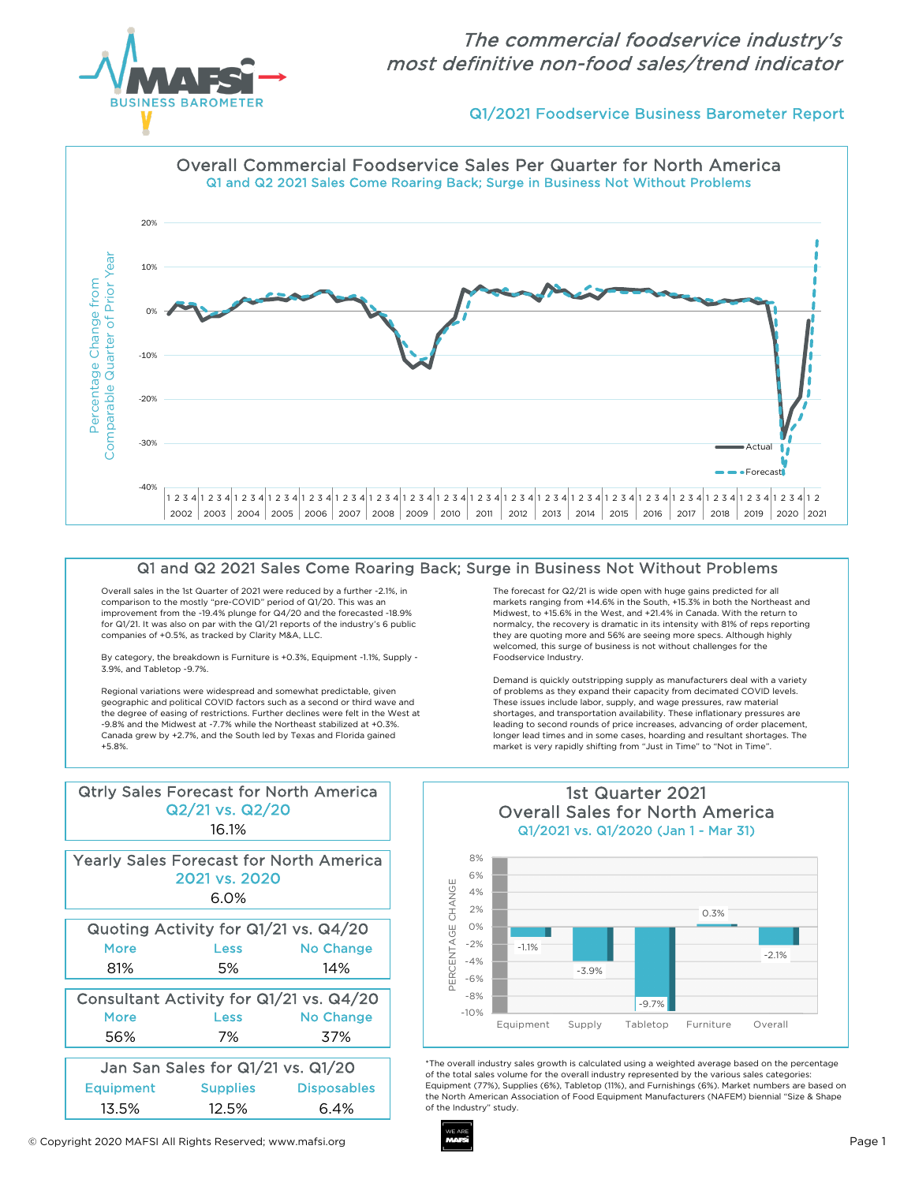

## Q1/2021 Foodservice Business Barometer Report



### Q1 and Q2 2021 Sales Come Roaring Back; Surge in Business Not Without Problems

Overall sales in the 1st Quarter of 2021 were reduced by a further -2.1%, in comparison to the mostly "pre-COVID" period of Q1/20. This was an improvement from the -19.4% plunge for Q4/20 and the forecasted -18.9% for Q1/21. It was also on par with the Q1/21 reports of the industry's 6 public companies of +0.5%, as tracked by Clarity M&A, LLC.

By category, the breakdown is Furniture is +0.3%, Equipment -1.1%, Supply - 3.9%, and Tabletop -9.7%.

Regional variations were widespread and somewhat predictable, given geographic and political COVID factors such as a second or third wave and the degree of easing of restrictions. Further declines were felt in the West at -9.8% and the Midwest at -7.7% while the Northeast stabilized at +0.3%. Canada grew by +2.7%, and the South led by Texas and Florida gained +5.8%.

| <b>Qtrly Sales Forecast for North America</b><br>Q2/21 vs. Q2/20 |                                   |                    |  |  |
|------------------------------------------------------------------|-----------------------------------|--------------------|--|--|
|                                                                  |                                   |                    |  |  |
|                                                                  | 16.1%                             |                    |  |  |
| <b>Yearly Sales Forecast for North America</b>                   |                                   |                    |  |  |
| 2021 vs. 2020                                                    |                                   |                    |  |  |
| 6.0%                                                             |                                   |                    |  |  |
|                                                                  |                                   |                    |  |  |
| Quoting Activity for Q1/21 vs. Q4/20                             |                                   |                    |  |  |
| More                                                             | Less                              | <b>No Change</b>   |  |  |
| 81%                                                              | 5%                                | 14%                |  |  |
| Consultant Activity for Q1/21 vs. Q4/20                          |                                   |                    |  |  |
| More                                                             | <b>Less</b>                       | <b>No Change</b>   |  |  |
| 56%                                                              | 7%                                | 37%                |  |  |
|                                                                  | Jan San Sales for Q1/21 vs. Q1/20 |                    |  |  |
| <b>Equipment</b>                                                 | <b>Supplies</b>                   | <b>Disposables</b> |  |  |
| 13.5%                                                            | 12.5%                             | 6.4%               |  |  |

The forecast for Q2/21 is wide open with huge gains predicted for all markets ranging from +14.6% in the South, +15.3% in both the Northeast and Midwest, to +15.6% in the West, and +21.4% in Canada. With the return to normalcy, the recovery is dramatic in its intensity with 81% of reps reporting they are quoting more and 56% are seeing more specs. Although highly welcomed, this surge of business is not without challenges for the Foodservice Industry.

Demand is quickly outstripping supply as manufacturers deal with a variety of problems as they expand their capacity from decimated COVID levels. These issues include labor, supply, and wage pressures, raw material shortages, and transportation availability. These inflationary pressures are leading to second rounds of price increases, advancing of order placement, longer lead times and in some cases, hoarding and resultant shortages. The market is very rapidly shifting from "Just in Time" to "Not in Time".

1st Quarter 2021 Overall Sales for North America



\*The overall industry sales growth is calculated using a weighted average based on the percentage of the total sales volume for the overall industry represented by the various sales categories: Equipment (77%), Supplies (6%), Tabletop (11%), and Furnishings (6%). Market numbers are based on the North American Association of Food Equipment Manufacturers (NAFEM) biennial "Size & Shape of the Industry" study.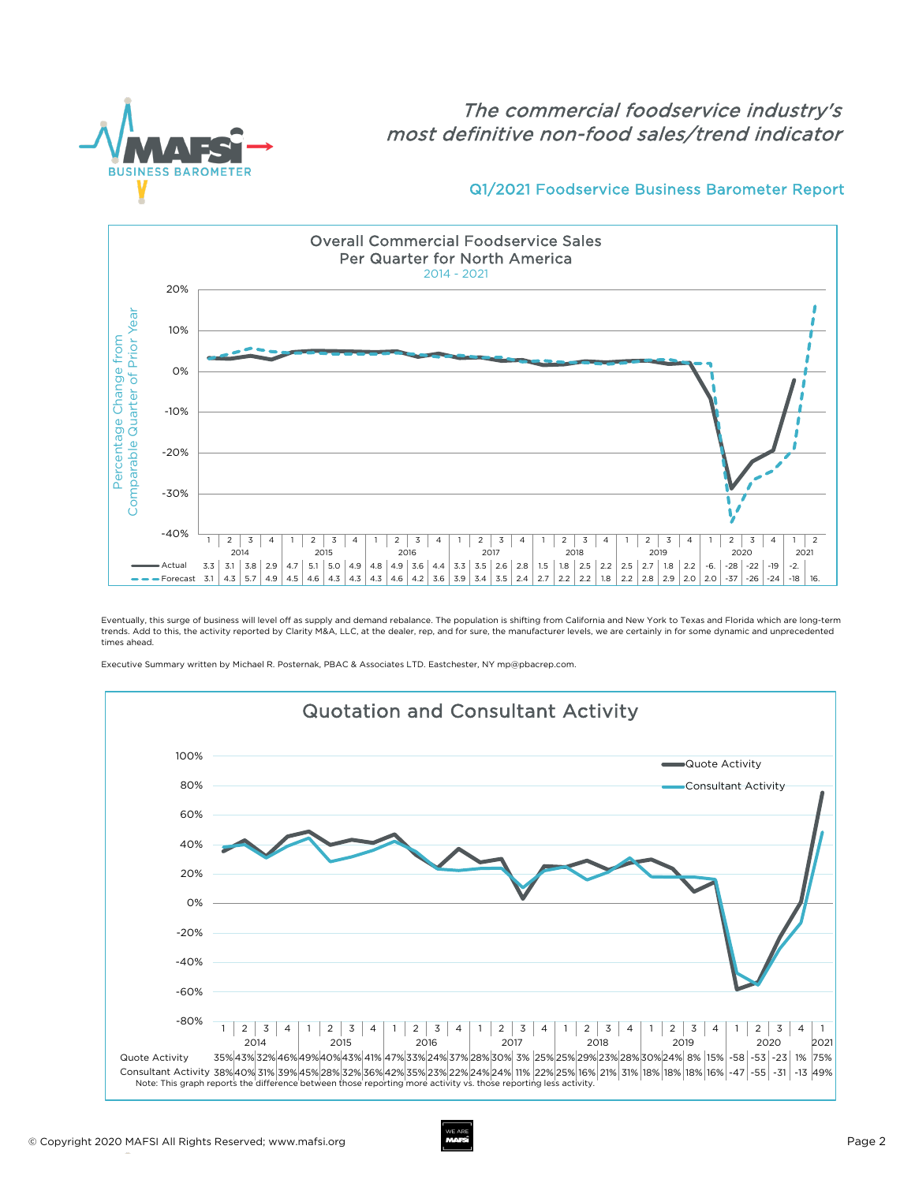

## Q1/2021 Foodservice Business Barometer Report



Eventually, this surge of business will level off as supply and demand rebalance. The population is shifting from California and New York to Texas and Florida which are long-term trends. Add to this, the activity reported by Clarity M&A, LLC, at the dealer, rep, and for sure, the manufacturer levels, we are certainly in for some dynamic and unprecedented times ahead.

Executive Summary written by Michael R. Posternak, PBAC & Associates LTD. Eastchester, NY mp@pbacrep.com.

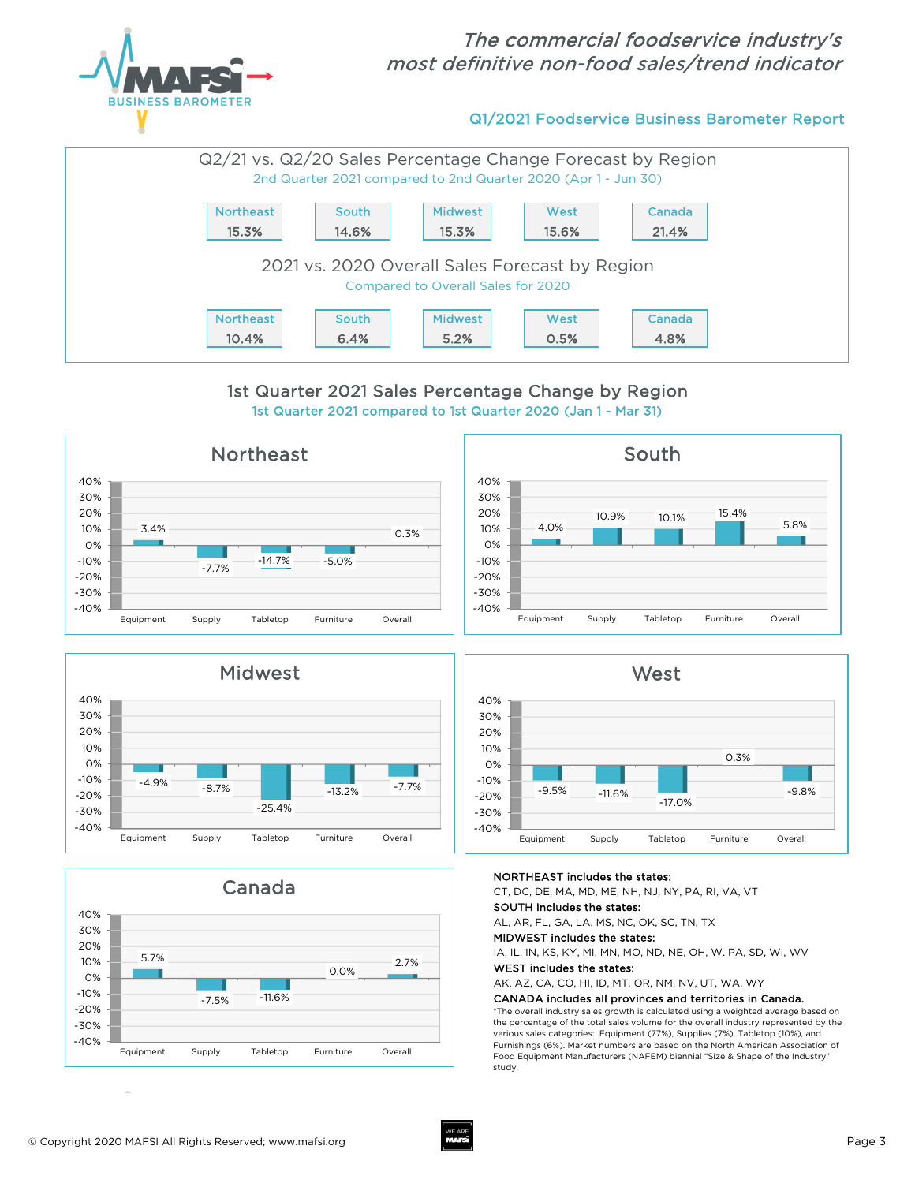

## Q1/2021 Foodservice Business Barometer Report



## 1st Quarter 2021 compared to 1st Quarter 2020 (Jan 1 - Mar 31) 1st Quarter 2021 Sales Percentage Change by Region









### NORTHEAST includes the states:

CT, DC, DE, MA, MD, ME, NH, NJ, NY, PA, RI, VA, VT

#### SOUTH includes the states:

AL, AR, FL, GA, LA, MS, NC, OK, SC, TN, TX

### MIDWEST includes the states:

IA, IL, IN, KS, KY, MI, MN, MO, ND, NE, OH, W. PA, SD, WI, WV

#### WEST includes the states:

AK, AZ, CA, CO, HI, ID, MT, OR, NM, NV, UT, WA, WY

#### CANADA includes all provinces and territories in Canada.

\*The overall industry sales growth is calculated using a weighted average based on the percentage of the total sales volume for the overall industry represented by the various sales categories: Equipment (77%), Supplies (7%), Tabletop (10%), and Furnishings (6%). Market numbers are based on the North American Association of Food Equipment Manufacturers (NAFEM) biennial "Size & Shape of the Industry" study.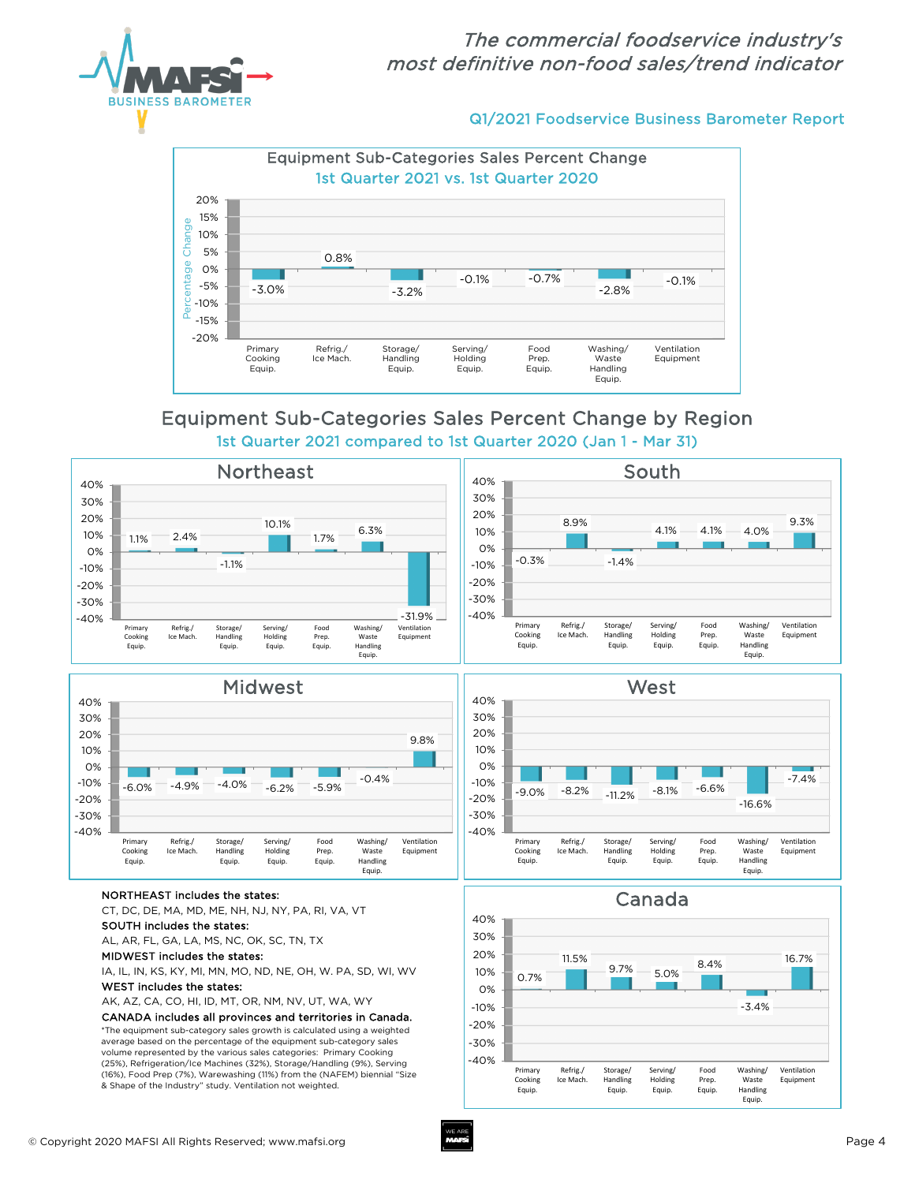

## Q1/2021 Foodservice Business Barometer Report



# Equipment Sub-Categories Sales Percent Change by Region 1st Quarter 2021 compared to 1st Quarter 2020 (Jan 1 - Mar 31)









CT, DC, DE, MA, MD, ME, NH, NJ, NY, PA, RI, VA, VT

### SOUTH includes the states:

AL, AR, FL, GA, LA, MS, NC, OK, SC, TN, TX

### MIDWEST includes the states:

IA, IL, IN, KS, KY, MI, MN, MO, ND, NE, OH, W. PA, SD, WI, WV WEST includes the states:

AK, AZ, CA, CO, HI, ID, MT, OR, NM, NV, UT, WA, WY

& Shape of the Industry" study. Ventilation not weighted.

CANADA includes all provinces and territories in Canada. \*The equipment sub-category sales growth is calculated using a weighted average based on the percentage of the equipment sub-category sales volume represented by the various sales categories: Primary Cooking (25%), Refrigeration/Ice Machines (32%), Storage/Handling (9%), Serving (16%), Food Prep (7%), Warewashing (11%) from the (NAFEM) biennial "Size

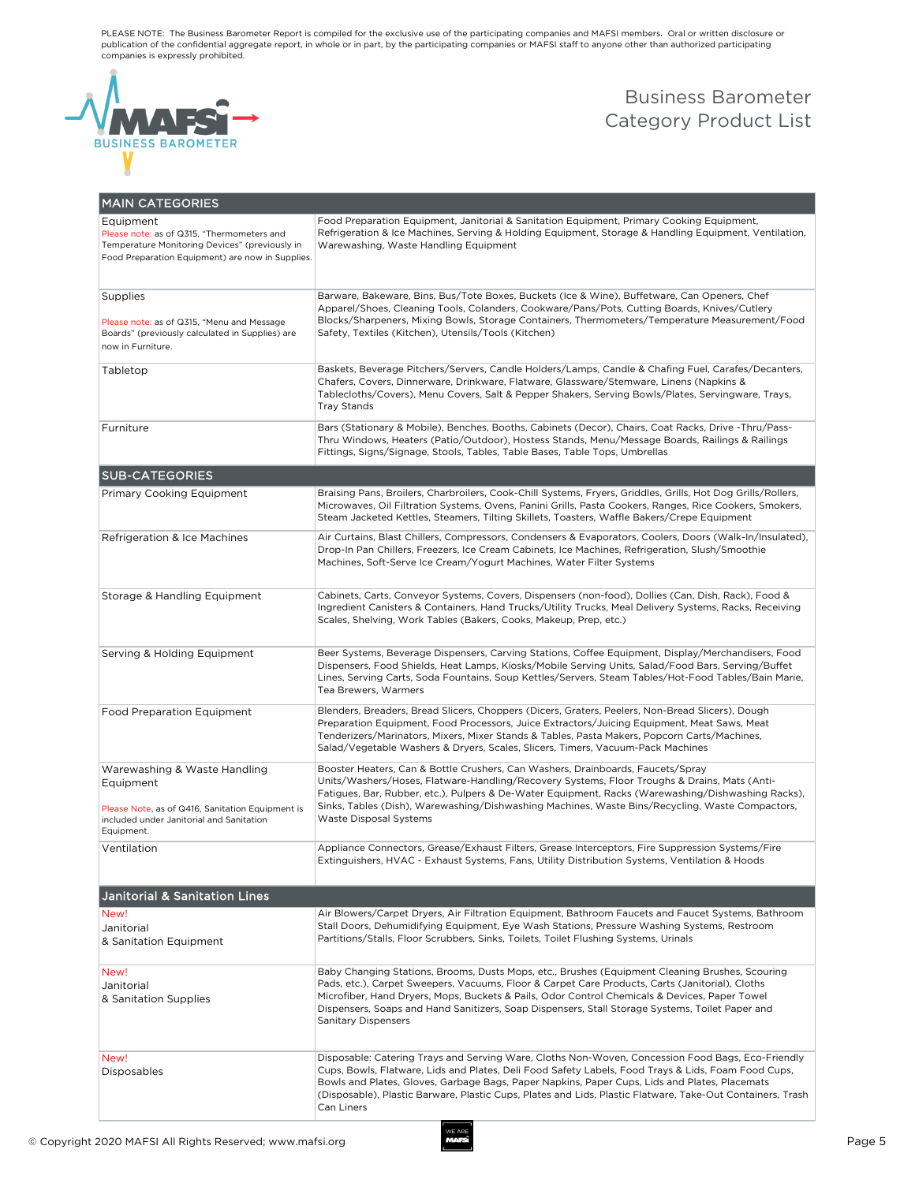PLEASE NOTE: The Business Barometer Report is compiled for the exclusive use of the participating companies and MAFSI members. Oral or written disclosure or publication of the confidential aggregate report, in whole or in part, by the participating companies or MAFSI staff to anyone other than authorized participating companies is expressly prohibited.



# Business Barometer Category Product List

| <b>MAIN CATEGORIES</b>                                                                                                                                        |                                                                                                                                                                                                                                                                                                                                                                                                                                       |  |  |  |
|---------------------------------------------------------------------------------------------------------------------------------------------------------------|---------------------------------------------------------------------------------------------------------------------------------------------------------------------------------------------------------------------------------------------------------------------------------------------------------------------------------------------------------------------------------------------------------------------------------------|--|--|--|
| Equipment<br>Please note: as of Q315, "Thermometers and<br>Temperature Monitoring Devices" (previously in<br>Food Preparation Equipment) are now in Supplies. | Food Preparation Equipment, Janitorial & Sanitation Equipment, Primary Cooking Equipment,<br>Refrigeration & Ice Machines, Serving & Holding Equipment, Storage & Handling Equipment, Ventilation,<br>Warewashing, Waste Handling Equipment                                                                                                                                                                                           |  |  |  |
| Supplies<br>Please note: as of Q315, "Menu and Message<br>Boards" (previously calculated in Supplies) are<br>now in Furniture.                                | Barware, Bakeware, Bins, Bus/Tote Boxes, Buckets (Ice & Wine), Buffetware, Can Openers, Chef<br>Apparel/Shoes, Cleaning Tools, Colanders, Cookware/Pans/Pots, Cutting Boards, Knives/Cutlery<br>Blocks/Sharpeners, Mixing Bowls, Storage Containers, Thermometers/Temperature Measurement/Food<br>Safety, Textiles (Kitchen), Utensils/Tools (Kitchen)                                                                                |  |  |  |
| Tabletop                                                                                                                                                      | Baskets, Beverage Pitchers/Servers, Candle Holders/Lamps, Candle & Chafing Fuel, Carafes/Decanters,<br>Chafers, Covers, Dinnerware, Drinkware, Flatware, Glassware/Stemware, Linens (Napkins &<br>Tablecloths/Covers), Menu Covers, Salt & Pepper Shakers, Serving Bowls/Plates, Servingware, Trays,<br><b>Tray Stands</b>                                                                                                            |  |  |  |
| Furniture                                                                                                                                                     | Bars (Stationary & Mobile), Benches, Booths, Cabinets (Decor), Chairs, Coat Racks, Drive -Thru/Pass-<br>Thru Windows, Heaters (Patio/Outdoor), Hostess Stands, Menu/Message Boards, Railings & Railings<br>Fittings, Signs/Signage, Stools, Tables, Table Bases, Table Tops, Umbrellas                                                                                                                                                |  |  |  |
| <b>SUB-CATEGORIES</b>                                                                                                                                         |                                                                                                                                                                                                                                                                                                                                                                                                                                       |  |  |  |
| Primary Cooking Equipment                                                                                                                                     | Braising Pans, Broilers, Charbroilers, Cook-Chill Systems, Fryers, Griddles, Grills, Hot Dog Grills/Rollers,<br>Microwaves, Oil Filtration Systems, Ovens, Panini Grills, Pasta Cookers, Ranges, Rice Cookers, Smokers,<br>Steam Jacketed Kettles, Steamers, Tilting Skillets, Toasters, Waffle Bakers/Crepe Equipment                                                                                                                |  |  |  |
| Refrigeration & Ice Machines                                                                                                                                  | Air Curtains, Blast Chillers, Compressors, Condensers & Evaporators, Coolers, Doors (Walk-In/Insulated),<br>Drop-In Pan Chillers, Freezers, Ice Cream Cabinets, Ice Machines, Refrigeration, Slush/Smoothie<br>Machines, Soft-Serve Ice Cream/Yogurt Machines, Water Filter Systems                                                                                                                                                   |  |  |  |
| Storage & Handling Equipment                                                                                                                                  | Cabinets, Carts, Conveyor Systems, Covers, Dispensers (non-food), Dollies (Can, Dish, Rack), Food &<br>Ingredient Canisters & Containers, Hand Trucks/Utility Trucks, Meal Delivery Systems, Racks, Receiving<br>Scales, Shelving, Work Tables (Bakers, Cooks, Makeup, Prep, etc.)                                                                                                                                                    |  |  |  |
| Serving & Holding Equipment                                                                                                                                   | Beer Systems, Beverage Dispensers, Carving Stations, Coffee Equipment, Display/Merchandisers, Food<br>Dispensers, Food Shields, Heat Lamps, Kiosks/Mobile Serving Units, Salad/Food Bars, Serving/Buffet<br>Lines, Serving Carts, Soda Fountains, Soup Kettles/Servers, Steam Tables/Hot-Food Tables/Bain Marie,<br>Tea Brewers, Warmers                                                                                              |  |  |  |
| Food Preparation Equipment                                                                                                                                    | Blenders, Breaders, Bread Slicers, Choppers (Dicers, Graters, Peelers, Non-Bread Slicers), Dough<br>Preparation Equipment, Food Processors, Juice Extractors/Juicing Equipment, Meat Saws, Meat<br>Tenderizers/Marinators, Mixers, Mixer Stands & Tables, Pasta Makers, Popcorn Carts/Machines,<br>Salad/Vegetable Washers & Dryers, Scales, Slicers, Timers, Vacuum-Pack Machines                                                    |  |  |  |
| Warewashing & Waste Handling<br>Equipment<br>Please Note, as of Q416, Sanitation Equipment is<br>included under Janitorial and Sanitation<br>Equipment.       | Booster Heaters, Can & Bottle Crushers, Can Washers, Drainboards, Faucets/Spray<br>Units/Washers/Hoses, Flatware-Handling/Recovery Systems, Floor Troughs & Drains, Mats (Anti-<br>Fatigues, Bar, Rubber, etc.), Pulpers & De-Water Equipment, Racks (Warewashing/Dishwashing Racks),<br>Sinks, Tables (Dish), Warewashing/Dishwashing Machines, Waste Bins/Recycling, Waste Compactors,<br>Waste Disposal Systems                    |  |  |  |
| Ventilation                                                                                                                                                   | Appliance Connectors, Grease/Exhaust Filters, Grease Interceptors, Fire Suppression Systems/Fire<br>Extinguishers, HVAC - Exhaust Systems, Fans, Utility Distribution Systems, Ventilation & Hoods                                                                                                                                                                                                                                    |  |  |  |
| <b>Janitorial &amp; Sanitation Lines</b>                                                                                                                      |                                                                                                                                                                                                                                                                                                                                                                                                                                       |  |  |  |
| New!<br>Janitorial<br>& Sanitation Equipment                                                                                                                  | Air Blowers/Carpet Dryers, Air Filtration Equipment, Bathroom Faucets and Faucet Systems, Bathroom<br>Stall Doors, Dehumidifying Equipment, Eye Wash Stations, Pressure Washing Systems, Restroom<br>Partitions/Stalls, Floor Scrubbers, Sinks, Toilets, Toilet Flushing Systems, Urinals                                                                                                                                             |  |  |  |
| New!<br>Janitorial<br>& Sanitation Supplies                                                                                                                   | Baby Changing Stations, Brooms, Dusts Mops, etc., Brushes (Equipment Cleaning Brushes, Scouring<br>Pads, etc.), Carpet Sweepers, Vacuums, Floor & Carpet Care Products, Carts (Janitorial), Cloths<br>Microfiber, Hand Dryers, Mops, Buckets & Pails, Odor Control Chemicals & Devices, Paper Towel<br>Dispensers, Soaps and Hand Sanitizers, Soap Dispensers, Stall Storage Systems, Toilet Paper and<br><b>Sanitary Dispensers</b>  |  |  |  |
| New!<br>Disposables                                                                                                                                           | Disposable: Catering Trays and Serving Ware, Cloths Non-Woven, Concession Food Bags, Eco-Friendly<br>Cups, Bowls, Flatware, Lids and Plates, Deli Food Safety Labels, Food Trays & Lids, Foam Food Cups,<br>Bowls and Plates, Gloves, Garbage Bags, Paper Napkins, Paper Cups, Lids and Plates, Placemats<br>(Disposable), Plastic Barware, Plastic Cups, Plates and Lids, Plastic Flatware, Take-Out Containers, Trash<br>Can Liners |  |  |  |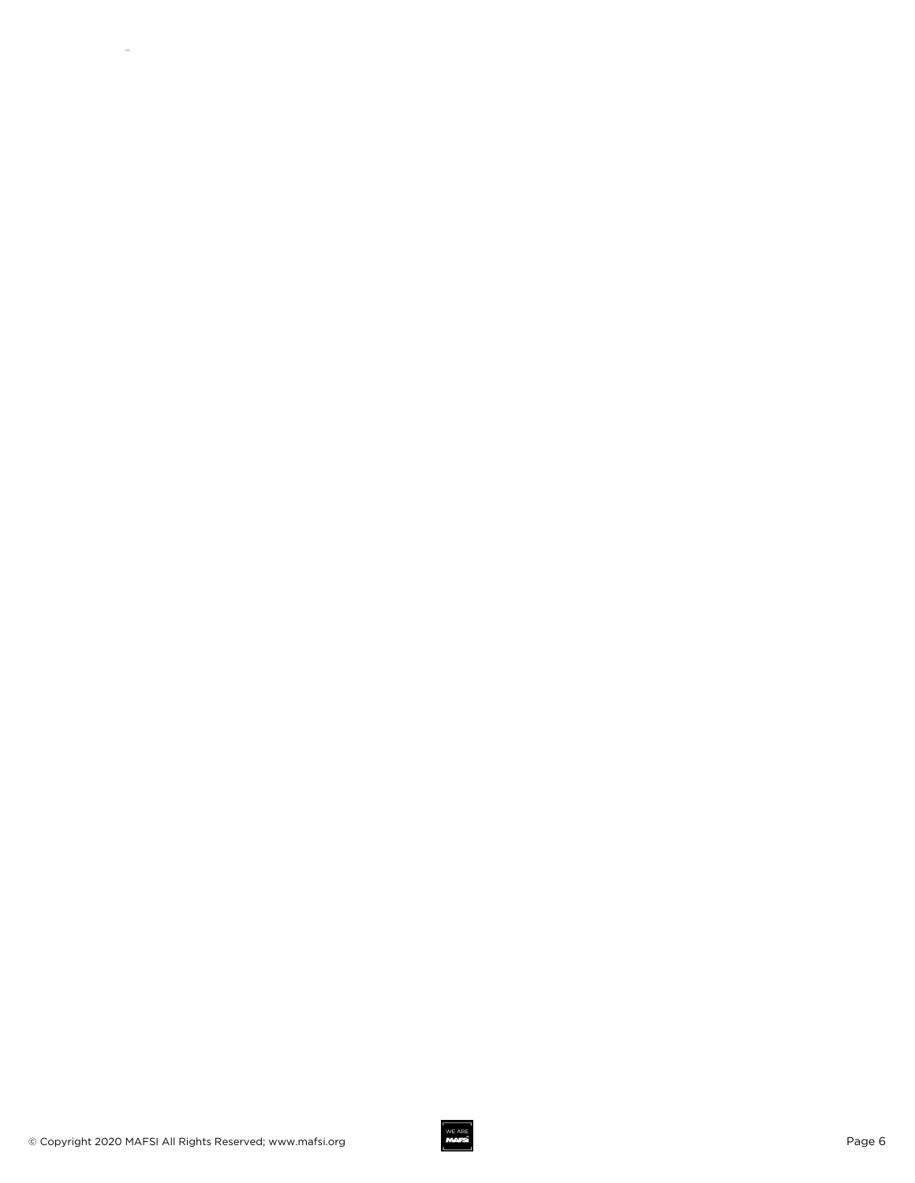© Copyright 2020 MAFSI All Rights Reserved; www.mafsi.org Page 6

J.